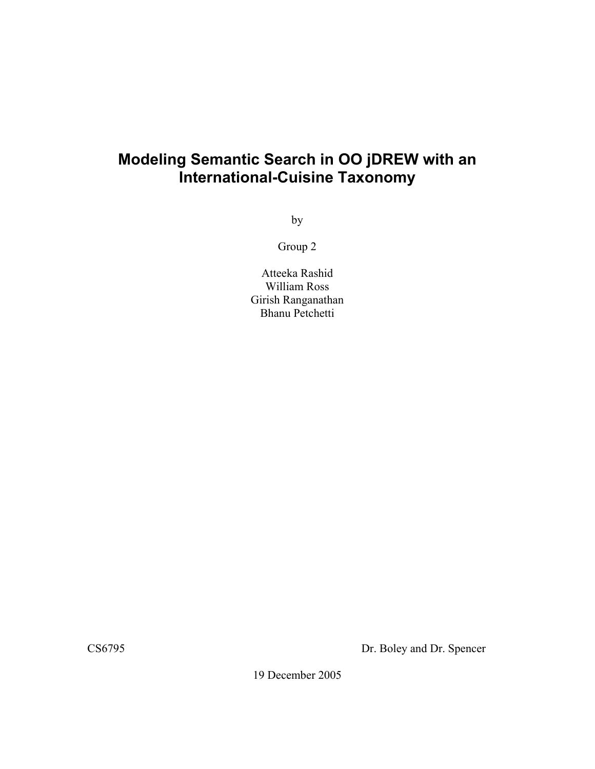# **Modeling Semantic Search in OO jDREW with an International-Cuisine Taxonomy**

by

Group 2

Atteeka Rashid William Ross Girish Ranganathan Bhanu Petchetti

CS6795 Dr. Boley and Dr. Spencer

19 December 2005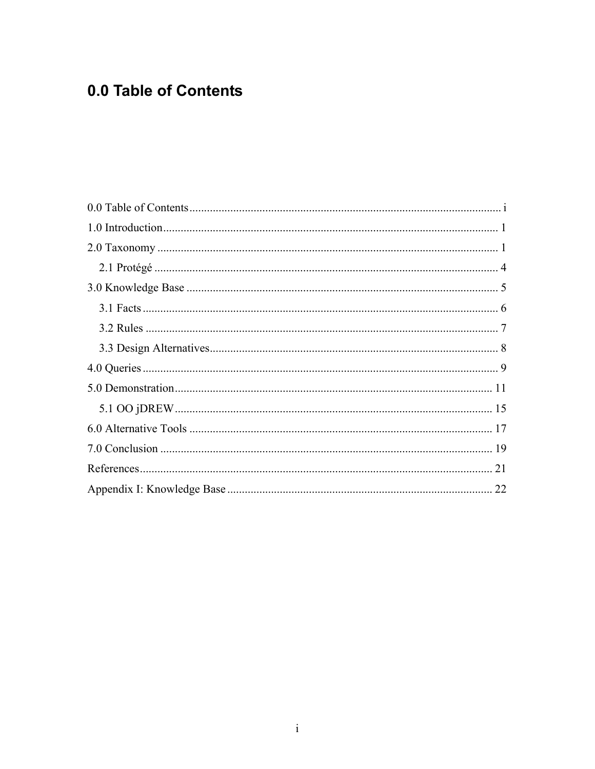# 0.0 Table of Contents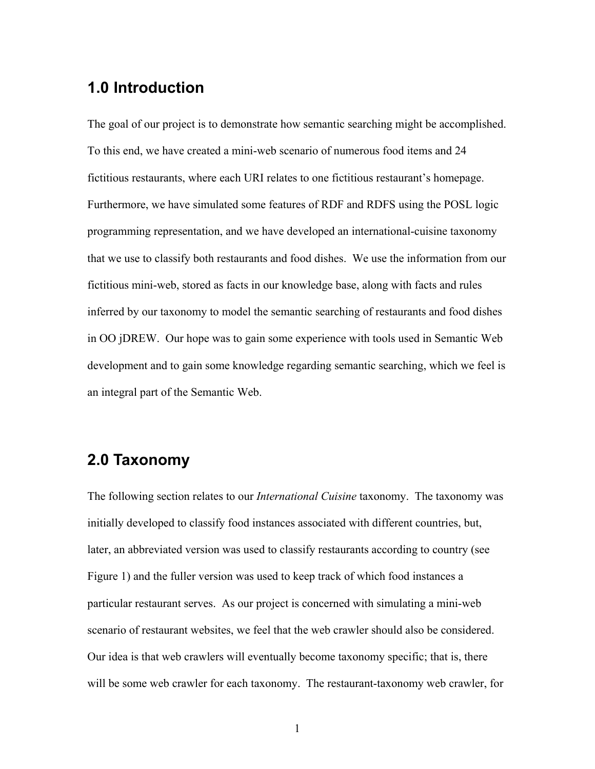# **1.0 Introduction**

The goal of our project is to demonstrate how semantic searching might be accomplished. To this end, we have created a mini-web scenario of numerous food items and 24 fictitious restaurants, where each URI relates to one fictitious restaurant's homepage. Furthermore, we have simulated some features of RDF and RDFS using the POSL logic programming representation, and we have developed an international-cuisine taxonomy that we use to classify both restaurants and food dishes. We use the information from our fictitious mini-web, stored as facts in our knowledge base, along with facts and rules inferred by our taxonomy to model the semantic searching of restaurants and food dishes in OO jDREW. Our hope was to gain some experience with tools used in Semantic Web development and to gain some knowledge regarding semantic searching, which we feel is an integral part of the Semantic Web.

# **2.0 Taxonomy**

The following section relates to our *International Cuisine* taxonomy. The taxonomy was initially developed to classify food instances associated with different countries, but, later, an abbreviated version was used to classify restaurants according to country (see Figure 1) and the fuller version was used to keep track of which food instances a particular restaurant serves. As our project is concerned with simulating a mini-web scenario of restaurant websites, we feel that the web crawler should also be considered. Our idea is that web crawlers will eventually become taxonomy specific; that is, there will be some web crawler for each taxonomy. The restaurant-taxonomy web crawler, for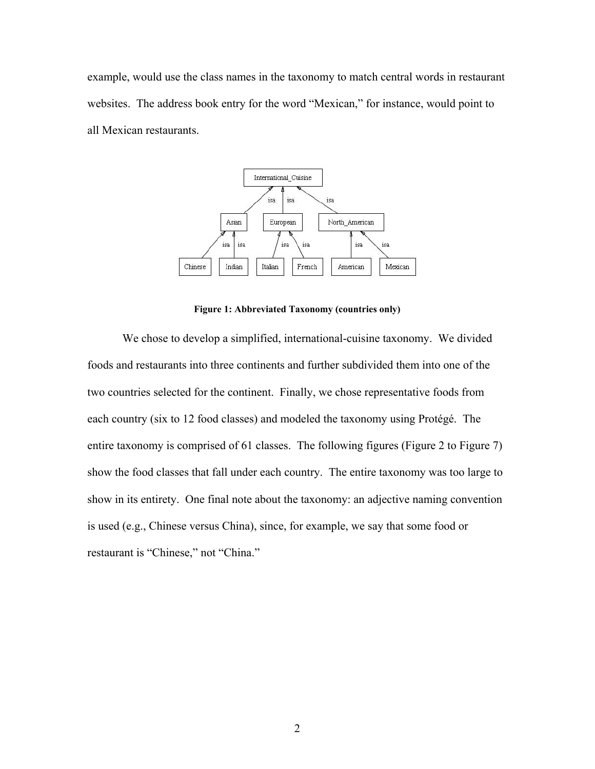example, would use the class names in the taxonomy to match central words in restaurant websites. The address book entry for the word "Mexican," for instance, would point to all Mexican restaurants.



**Figure 1: Abbreviated Taxonomy (countries only)** 

We chose to develop a simplified, international-cuisine taxonomy. We divided foods and restaurants into three continents and further subdivided them into one of the two countries selected for the continent. Finally, we chose representative foods from each country (six to 12 food classes) and modeled the taxonomy using Protégé. The entire taxonomy is comprised of 61 classes. The following figures (Figure 2 to Figure 7) show the food classes that fall under each country. The entire taxonomy was too large to show in its entirety. One final note about the taxonomy: an adjective naming convention is used (e.g., Chinese versus China), since, for example, we say that some food or restaurant is "Chinese," not "China."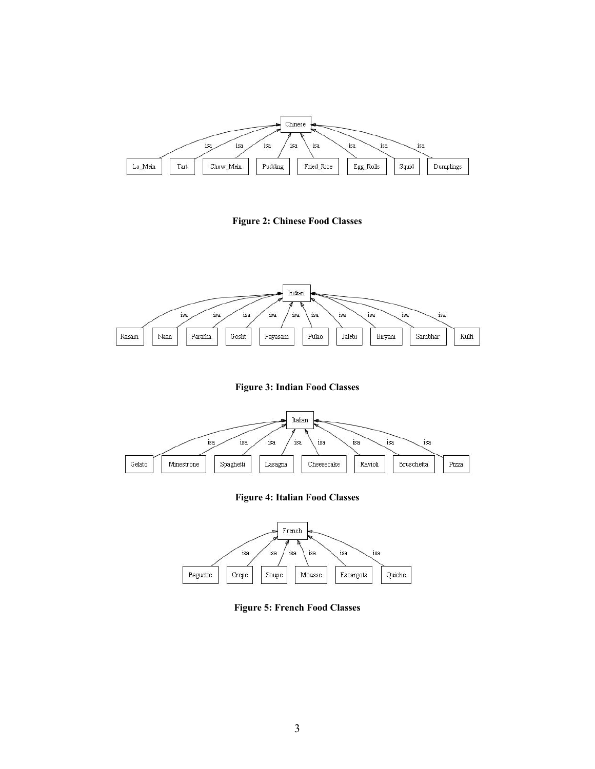

**Figure 2: Chinese Food Classes**



**Figure 3: Indian Food Classes**



**Figure 4: Italian Food Classes**



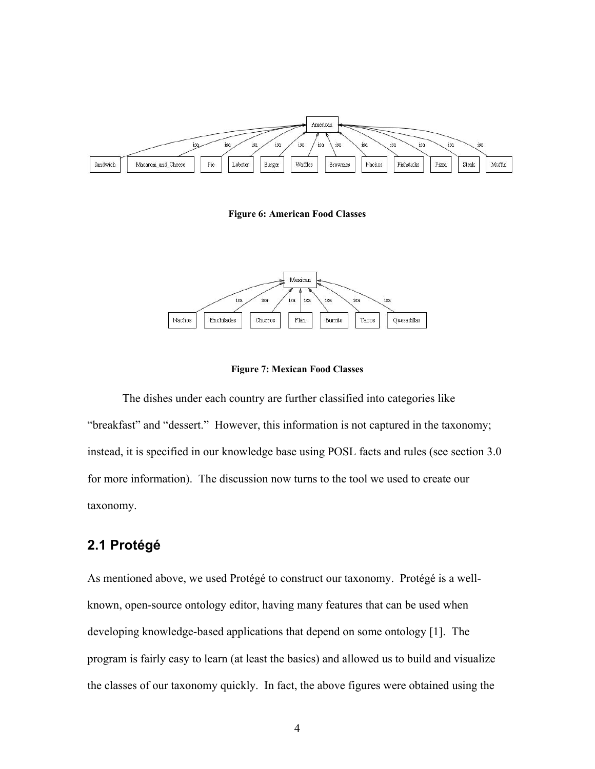

**Figure 6: American Food Classes**



**Figure 7: Mexican Food Classes**

The dishes under each country are further classified into categories like "breakfast" and "dessert." However, this information is not captured in the taxonomy; instead, it is specified in our knowledge base using POSL facts and rules (see section 3.0 for more information). The discussion now turns to the tool we used to create our taxonomy.

## **2.1 Protégé**

As mentioned above, we used Protégé to construct our taxonomy. Protégé is a wellknown, open-source ontology editor, having many features that can be used when developing knowledge-based applications that depend on some ontology [1]. The program is fairly easy to learn (at least the basics) and allowed us to build and visualize the classes of our taxonomy quickly. In fact, the above figures were obtained using the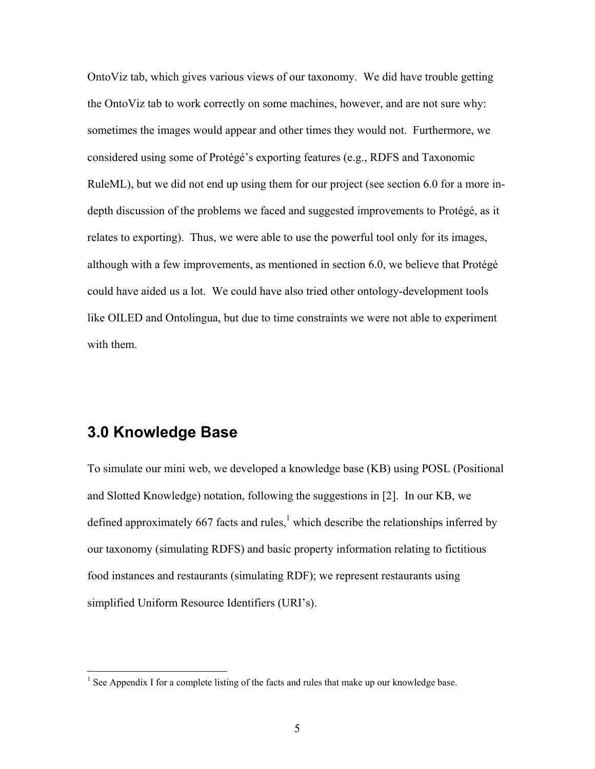OntoViz tab, which gives various views of our taxonomy. We did have trouble getting the OntoViz tab to work correctly on some machines, however, and are not sure why: sometimes the images would appear and other times they would not. Furthermore, we considered using some of Protégé's exporting features (e.g., RDFS and Taxonomic RuleML), but we did not end up using them for our project (see section 6.0 for a more indepth discussion of the problems we faced and suggested improvements to Protégé, as it relates to exporting). Thus, we were able to use the powerful tool only for its images, although with a few improvements, as mentioned in section 6.0, we believe that Protégé could have aided us a lot. We could have also tried other ontology-development tools like OILED and Ontolingua, but due to time constraints we were not able to experiment with them.

# **3.0 Knowledge Base**

 $\overline{a}$ 

To simulate our mini web, we developed a knowledge base (KB) using POSL (Positional and Slotted Knowledge) notation, following the suggestions in [2]. In our KB, we defined approximately 667 facts and rules,  $\frac{1}{2}$  which describe the relationships inferred by our taxonomy (simulating RDFS) and basic property information relating to fictitious food instances and restaurants (simulating RDF); we represent restaurants using simplified Uniform Resource Identifiers (URI's).

<sup>&</sup>lt;sup>1</sup> See Appendix I for a complete listing of the facts and rules that make up our knowledge base.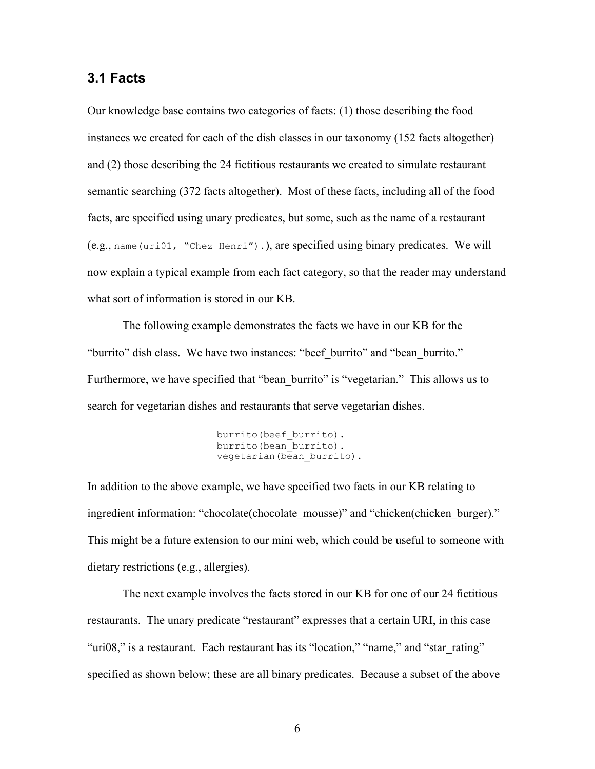### **3.1 Facts**

Our knowledge base contains two categories of facts: (1) those describing the food instances we created for each of the dish classes in our taxonomy (152 facts altogether) and (2) those describing the 24 fictitious restaurants we created to simulate restaurant semantic searching (372 facts altogether). Most of these facts, including all of the food facts, are specified using unary predicates, but some, such as the name of a restaurant (e.g., name(uri01, "Chez Henri").), are specified using binary predicates. We will now explain a typical example from each fact category, so that the reader may understand what sort of information is stored in our KB.

The following example demonstrates the facts we have in our KB for the "burrito" dish class. We have two instances: "beef burrito" and "bean burrito." Furthermore, we have specified that "bean burrito" is "vegetarian." This allows us to search for vegetarian dishes and restaurants that serve vegetarian dishes.

> burrito(beef\_burrito). burrito(bean\_burrito). vegetarian(bean burrito).

In addition to the above example, we have specified two facts in our KB relating to ingredient information: "chocolate(chocolate\_mousse)" and "chicken(chicken\_burger)." This might be a future extension to our mini web, which could be useful to someone with dietary restrictions (e.g., allergies).

The next example involves the facts stored in our KB for one of our 24 fictitious restaurants. The unary predicate "restaurant" expresses that a certain URI, in this case "uri08," is a restaurant. Each restaurant has its "location," "name," and "star\_rating" specified as shown below; these are all binary predicates. Because a subset of the above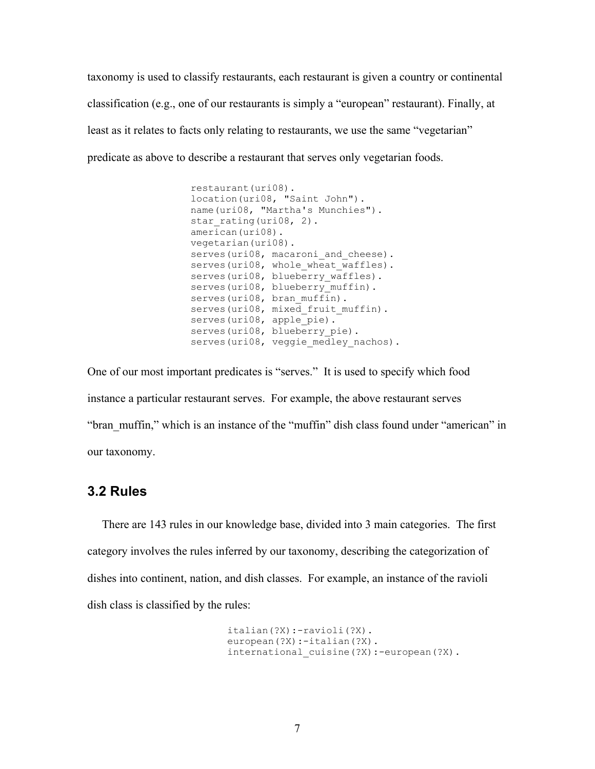taxonomy is used to classify restaurants, each restaurant is given a country or continental classification (e.g., one of our restaurants is simply a "european" restaurant). Finally, at least as it relates to facts only relating to restaurants, we use the same "vegetarian" predicate as above to describe a restaurant that serves only vegetarian foods.

```
restaurant(uri08). 
location(uri08, "Saint John"). 
name(uri08, "Martha's Munchies"). 
star rating(uri08, 2).
\overline{\arctan}(\text{uri08}).
vegetarian(uri08). 
serves(uri08, macaroni and cheese).
serves(uri08, whole wheat waffles).
serves(uri08, blueberry waffles).
serves(uri08, blueberry_muffin).
serves(uri08, bran muffin).
serves(uri08, mixed fruit muffin).
serves(uri08, apple pie).
serves(uri08, blueberry pie).
serves(uri08, veggie medley nachos).
```
One of our most important predicates is "serves." It is used to specify which food instance a particular restaurant serves. For example, the above restaurant serves "bran\_muffin," which is an instance of the "muffin" dish class found under "american" in our taxonomy.

### **3.2 Rules**

 There are 143 rules in our knowledge base, divided into 3 main categories. The first category involves the rules inferred by our taxonomy, describing the categorization of dishes into continent, nation, and dish classes. For example, an instance of the ravioli dish class is classified by the rules:

```
 italian(?X):-ravioli(?X). 
 european(?X):-italian(?X). 
international cuisine(?X):-european(?X).
```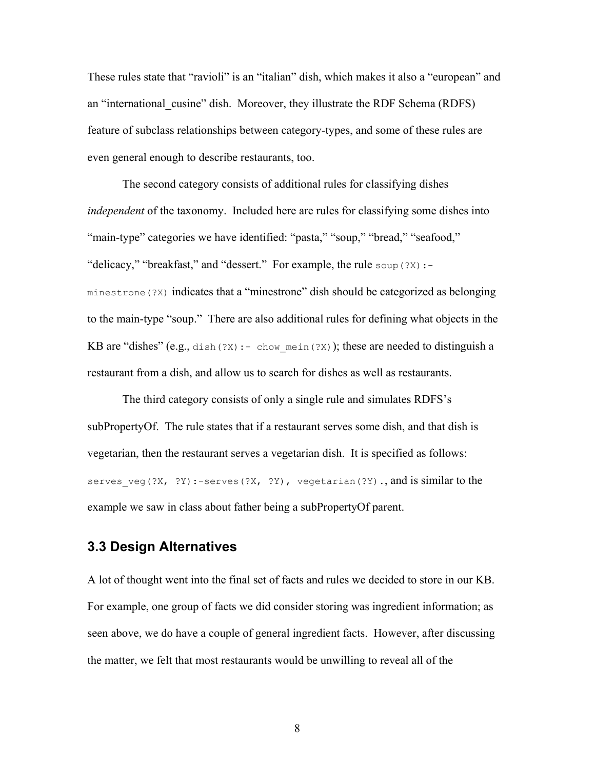These rules state that "ravioli" is an "italian" dish, which makes it also a "european" and an "international\_cusine" dish. Moreover, they illustrate the RDF Schema (RDFS) feature of subclass relationships between category-types, and some of these rules are even general enough to describe restaurants, too.

The second category consists of additional rules for classifying dishes *independent* of the taxonomy. Included here are rules for classifying some dishes into "main-type" categories we have identified: "pasta," "soup," "bread," "seafood," "delicacy," "breakfast," and "dessert." For example, the rule soup(?X):minestrone(?X) indicates that a "minestrone" dish should be categorized as belonging to the main-type "soup." There are also additional rules for defining what objects in the KB are "dishes" (e.g., dish(?X):- chow mein(?X)); these are needed to distinguish a restaurant from a dish, and allow us to search for dishes as well as restaurants.

The third category consists of only a single rule and simulates RDFS's subPropertyOf. The rule states that if a restaurant serves some dish, and that dish is vegetarian, then the restaurant serves a vegetarian dish. It is specified as follows: serves veg(?X, ?Y):-serves(?X, ?Y), vegetarian(?Y)., and is similar to the example we saw in class about father being a subPropertyOf parent.

## **3.3 Design Alternatives**

A lot of thought went into the final set of facts and rules we decided to store in our KB. For example, one group of facts we did consider storing was ingredient information; as seen above, we do have a couple of general ingredient facts. However, after discussing the matter, we felt that most restaurants would be unwilling to reveal all of the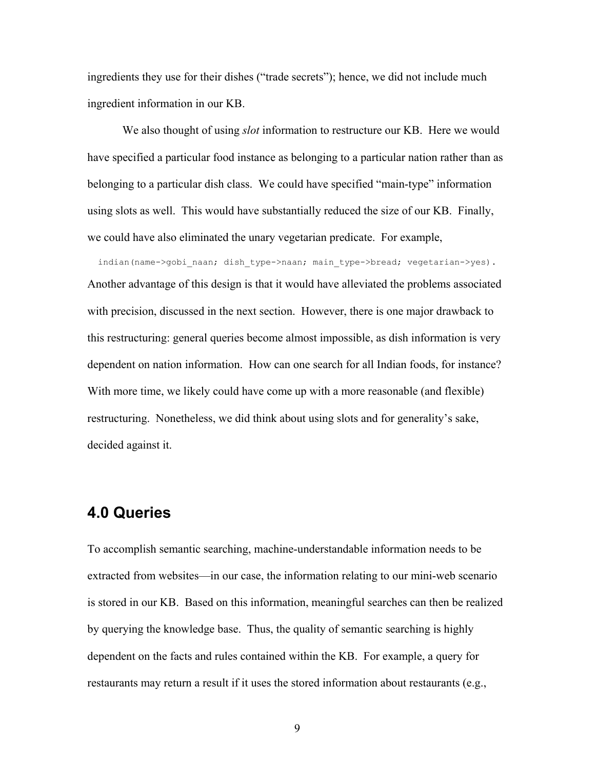ingredients they use for their dishes ("trade secrets"); hence, we did not include much ingredient information in our KB.

We also thought of using *slot* information to restructure our KB. Here we would have specified a particular food instance as belonging to a particular nation rather than as belonging to a particular dish class. We could have specified "main-type" information using slots as well. This would have substantially reduced the size of our KB. Finally, we could have also eliminated the unary vegetarian predicate. For example,

indian(name->gobi naan; dish type->naan; main type->bread; vegetarian->yes). Another advantage of this design is that it would have alleviated the problems associated with precision, discussed in the next section. However, there is one major drawback to this restructuring: general queries become almost impossible, as dish information is very dependent on nation information. How can one search for all Indian foods, for instance? With more time, we likely could have come up with a more reasonable (and flexible) restructuring. Nonetheless, we did think about using slots and for generality's sake, decided against it.

## **4.0 Queries**

To accomplish semantic searching, machine-understandable information needs to be extracted from websites—in our case, the information relating to our mini-web scenario is stored in our KB. Based on this information, meaningful searches can then be realized by querying the knowledge base. Thus, the quality of semantic searching is highly dependent on the facts and rules contained within the KB. For example, a query for restaurants may return a result if it uses the stored information about restaurants (e.g.,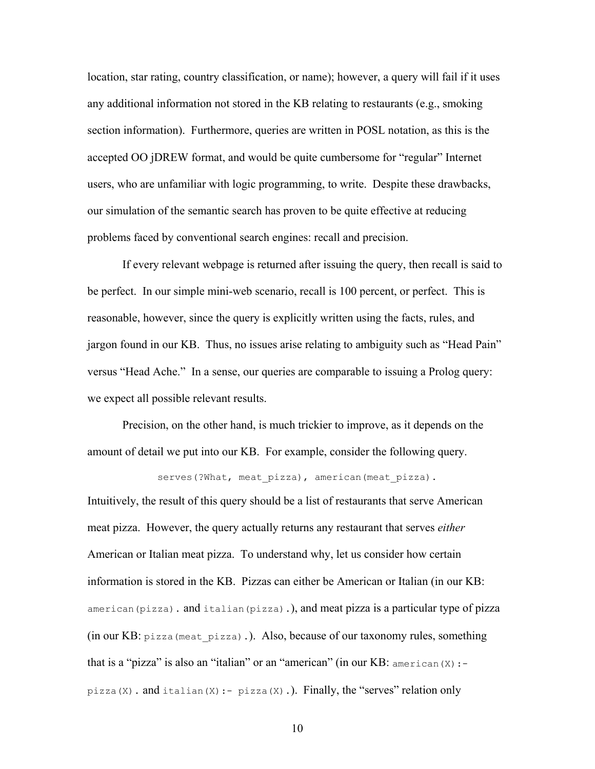location, star rating, country classification, or name); however, a query will fail if it uses any additional information not stored in the KB relating to restaurants (e.g., smoking section information). Furthermore, queries are written in POSL notation, as this is the accepted OO jDREW format, and would be quite cumbersome for "regular" Internet users, who are unfamiliar with logic programming, to write. Despite these drawbacks, our simulation of the semantic search has proven to be quite effective at reducing problems faced by conventional search engines: recall and precision.

 If every relevant webpage is returned after issuing the query, then recall is said to be perfect. In our simple mini-web scenario, recall is 100 percent, or perfect. This is reasonable, however, since the query is explicitly written using the facts, rules, and jargon found in our KB. Thus, no issues arise relating to ambiguity such as "Head Pain" versus "Head Ache." In a sense, our queries are comparable to issuing a Prolog query: we expect all possible relevant results.

 Precision, on the other hand, is much trickier to improve, as it depends on the amount of detail we put into our KB. For example, consider the following query.

serves(?What, meat pizza), american(meat pizza).

Intuitively, the result of this query should be a list of restaurants that serve American meat pizza. However, the query actually returns any restaurant that serves *either* American or Italian meat pizza. To understand why, let us consider how certain information is stored in the KB. Pizzas can either be American or Italian (in our KB: american(pizza). and italian(pizza).), and meat pizza is a particular type of pizza (in our KB: pizza(meat pizza).). Also, because of our taxonomy rules, something that is a "pizza" is also an "italian" or an "american" (in our KB:  $\alpha$ merican(X):pizza $(X)$ . and italian $(X)$ : - pizza $(X)$ .). Finally, the "serves" relation only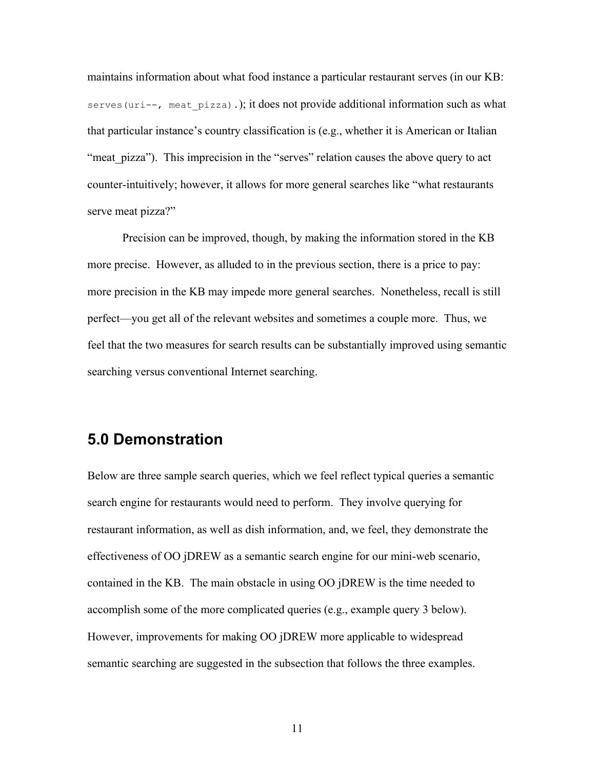maintains information about what food instance a particular restaurant serves (in our KB: serves (uri--, meat  $pizza)$ .); it does not provide additional information such as what that particular instance's country classification is (e.g., whether it is American or Italian "meat pizza"). This imprecision in the "serves" relation causes the above query to act counter-intuitively; however, it allows for more general searches like "what restaurants serve meat pizza?"

 Precision can be improved, though, by making the information stored in the KB more precise. However, as alluded to in the previous section, there is a price to pay: more precision in the KB may impede more general searches. Nonetheless, recall is still perfect—you get all of the relevant websites and sometimes a couple more. Thus, we feel that the two measures for search results can be substantially improved using semantic searching versus conventional Internet searching.

# **5.0 Demonstration**

Below are three sample search queries, which we feel reflect typical queries a semantic search engine for restaurants would need to perform. They involve querying for restaurant information, as well as dish information, and, we feel, they demonstrate the effectiveness of OO jDREW as a semantic search engine for our mini-web scenario, contained in the KB. The main obstacle in using OO jDREW is the time needed to accomplish some of the more complicated queries (e.g., example query 3 below). However, improvements for making OO jDREW more applicable to widespread semantic searching are suggested in the subsection that follows the three examples.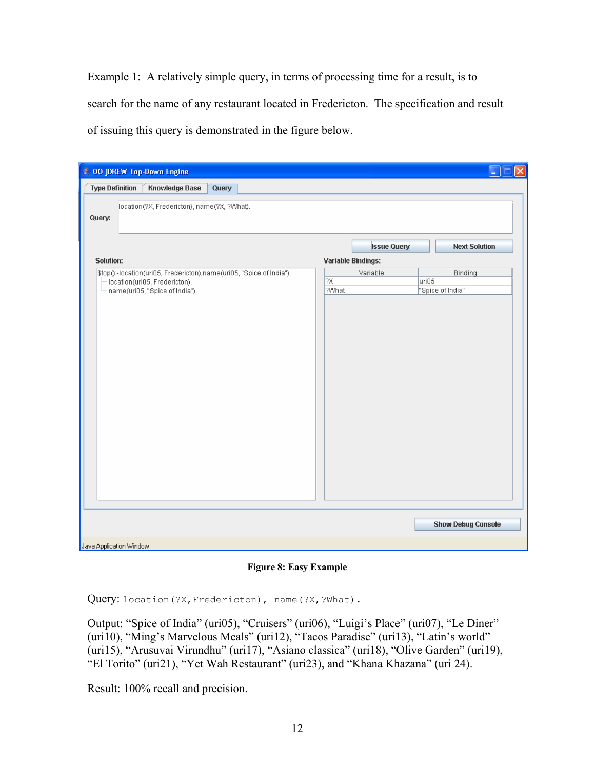Example 1: A relatively simple query, in terms of processing time for a result, is to search for the name of any restaurant located in Fredericton. The specification and result of issuing this query is demonstrated in the figure below.

| <b>Type Definition</b><br><b>Knowledge Base</b><br>Query                                 |                                       |                      |
|------------------------------------------------------------------------------------------|---------------------------------------|----------------------|
|                                                                                          |                                       |                      |
| location(?X, Fredericton), name(?X, ?What).                                              |                                       |                      |
| Query:                                                                                   |                                       |                      |
|                                                                                          |                                       | <b>Next Solution</b> |
|                                                                                          | <b>Issue Query</b>                    |                      |
| <b>Solution:</b><br>\$top():-location(uri05, Fredericton),name(uri05, "Spice of India"). | <b>Variable Bindings:</b><br>Variable | Binding              |
| location(uri05, Fredericton).                                                            | $2\times$                             | uri05                |
| name(uri05, "Spice of India").                                                           | ?What                                 | "Spice of India"     |
|                                                                                          |                                       |                      |
|                                                                                          |                                       |                      |

**Figure 8: Easy Example** 

Query: location(?X, Fredericton), name(?X, ?What).

Output: "Spice of India" (uri05), "Cruisers" (uri06), "Luigi's Place" (uri07), "Le Diner" (uri10), "Ming's Marvelous Meals" (uri12), "Tacos Paradise" (uri13), "Latin's world" (uri15), "Arusuvai Virundhu" (uri17), "Asiano classica" (uri18), "Olive Garden" (uri19), "El Torito" (uri21), "Yet Wah Restaurant" (uri23), and "Khana Khazana" (uri 24).

Result: 100% recall and precision.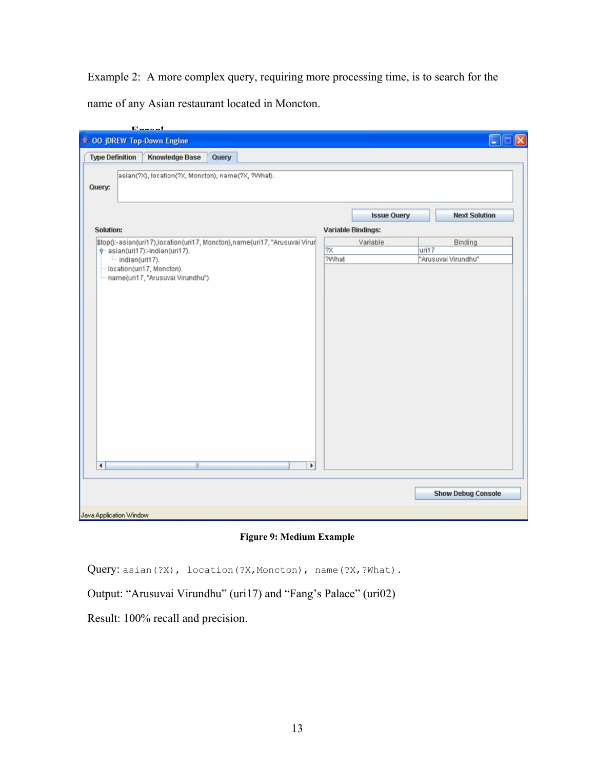Example 2: A more complex query, requiring more processing time, is to search for the

name of any Asian restaurant located in Moncton.

| <b>Type Definition</b>                                                                                                                         | <b>Knowledge Base</b>                              | Query |                          |                           |                    |                     |                      |
|------------------------------------------------------------------------------------------------------------------------------------------------|----------------------------------------------------|-------|--------------------------|---------------------------|--------------------|---------------------|----------------------|
| Query:                                                                                                                                         | asian(?X), location(?X, Moncton), name(?X, ?What). |       |                          |                           |                    |                     |                      |
|                                                                                                                                                |                                                    |       |                          |                           | <b>Issue Query</b> |                     | <b>Next Solution</b> |
| Solution:                                                                                                                                      |                                                    |       |                          | <b>Variable Bindings:</b> |                    |                     |                      |
| \$top():-asian(uri17),location(uri17, Moncton),name(uri17, "Arusuvai Virur<br>$\frac{1}{2}$ asian(uri17):-indian(uri17).<br>$-$ indian(uri17). |                                                    |       |                          | Variable                  |                    | Binding             |                      |
|                                                                                                                                                |                                                    |       | $\overline{2X}$<br>?What |                           | uri17              | "Arusuvai Virundhu" |                      |
|                                                                                                                                                |                                                    |       |                          |                           |                    |                     |                      |
| $\blacktriangleleft$                                                                                                                           | W.                                                 |       | $\blacktriangleright$    |                           |                    |                     |                      |

**Figure 9: Medium Example** 

Query: asian(?X), location(?X,Moncton), name(?X,?What).

Output: "Arusuvai Virundhu" (uri17) and "Fang's Palace" (uri02)

Result: 100% recall and precision.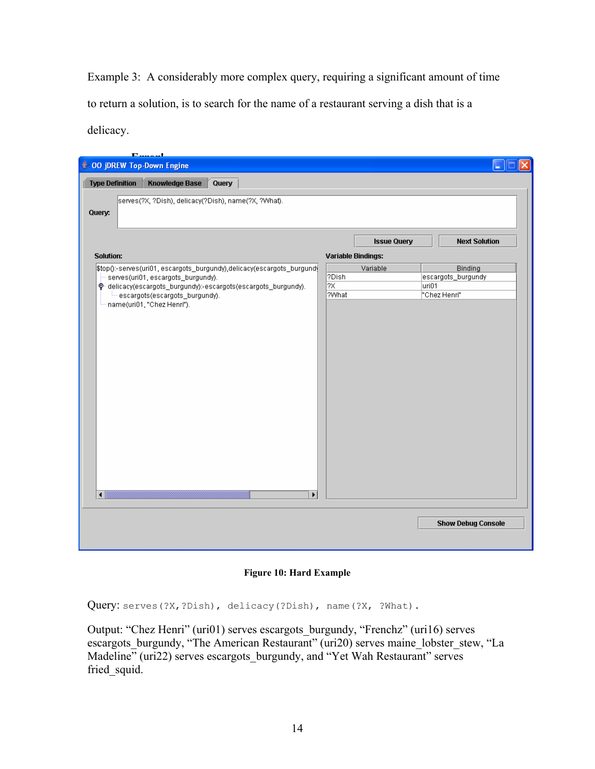Example 3: A considerably more complex query, requiring a significant amount of time to return a solution, is to search for the name of a restaurant serving a dish that is a delicacy.

| $\mathbf{E}$               | المصمم                             |                                                                            |       |                           |       |                           |
|----------------------------|------------------------------------|----------------------------------------------------------------------------|-------|---------------------------|-------|---------------------------|
| ● 00 jDREW Top-Down Engine |                                    |                                                                            |       |                           |       |                           |
|                            |                                    |                                                                            |       |                           |       |                           |
| <b>Type Definition</b>     | <b>Knowledge Base</b>              | Query                                                                      |       |                           |       |                           |
|                            |                                    | serves(?X, ?Dish), delicacy(?Dish), name(?X, ?What).                       |       |                           |       |                           |
| Query:                     |                                    |                                                                            |       |                           |       |                           |
|                            |                                    |                                                                            |       |                           |       |                           |
|                            |                                    |                                                                            |       |                           |       |                           |
|                            |                                    |                                                                            |       | <b>Issue Query</b>        |       | <b>Next Solution</b>      |
| <b>Solution:</b>           |                                    |                                                                            |       | <b>Variable Bindings:</b> |       |                           |
|                            |                                    | \$top():-serves(uri01, escargots_burgundy),delicacy(escargots_burgundy     |       | Variable                  |       | Binding                   |
|                            | serves(uri01, escargots_burgundy). |                                                                            | ?Dish |                           |       | escargots_burgundy        |
|                            |                                    | $\hat{\phi}$ -delicacy(escargots_burgundy):-escargots(escargots_burgundy). | 1?X   |                           | uri01 |                           |
|                            | escargots(escargots_burgundy).     |                                                                            | ?What |                           |       | "Chez Henri"              |
|                            | name(uri01, "Chez Henri").         |                                                                            |       |                           |       |                           |
|                            |                                    |                                                                            |       |                           |       |                           |
|                            |                                    |                                                                            |       |                           |       |                           |
|                            |                                    |                                                                            |       |                           |       |                           |
|                            |                                    |                                                                            |       |                           |       |                           |
|                            |                                    |                                                                            |       |                           |       |                           |
|                            |                                    |                                                                            |       |                           |       |                           |
|                            |                                    |                                                                            |       |                           |       |                           |
|                            |                                    |                                                                            |       |                           |       |                           |
|                            |                                    |                                                                            |       |                           |       |                           |
|                            |                                    |                                                                            |       |                           |       |                           |
|                            |                                    |                                                                            |       |                           |       |                           |
|                            |                                    |                                                                            |       |                           |       |                           |
|                            |                                    |                                                                            |       |                           |       |                           |
|                            |                                    |                                                                            |       |                           |       |                           |
|                            |                                    |                                                                            |       |                           |       |                           |
|                            |                                    |                                                                            |       |                           |       |                           |
|                            |                                    |                                                                            |       |                           |       |                           |
|                            |                                    |                                                                            |       |                           |       |                           |
|                            |                                    |                                                                            |       |                           |       |                           |
|                            |                                    |                                                                            |       |                           |       |                           |
|                            |                                    |                                                                            |       |                           |       |                           |
|                            |                                    | $\blacktriangleright$                                                      |       |                           |       |                           |
|                            |                                    |                                                                            |       |                           |       |                           |
|                            |                                    |                                                                            |       |                           |       |                           |
|                            |                                    |                                                                            |       |                           |       | <b>Show Debug Console</b> |
|                            |                                    |                                                                            |       |                           |       |                           |
|                            |                                    |                                                                            |       |                           |       |                           |
|                            |                                    |                                                                            |       |                           |       |                           |

**Figure 10: Hard Example** 

Query: serves(?X,?Dish), delicacy(?Dish), name(?X, ?What).

Output: "Chez Henri" (uri01) serves escargots\_burgundy, "Frenchz" (uri16) serves escargots\_burgundy, "The American Restaurant" (uri20) serves maine\_lobster\_stew, "La Madeline<sup>7</sup> (uri22) serves escargots\_burgundy, and "Yet Wah Restaurant" serves fried squid.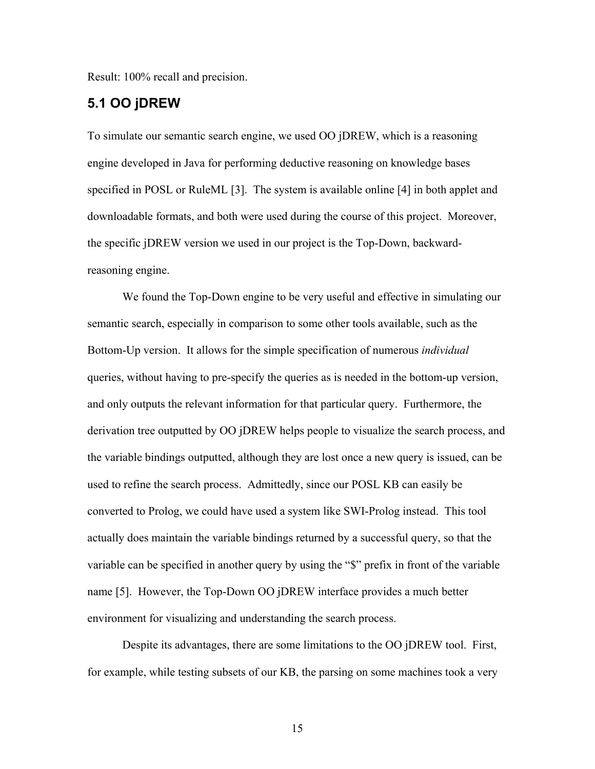Result: 100% recall and precision.

## **5.1 OO jDREW**

To simulate our semantic search engine, we used OO jDREW, which is a reasoning engine developed in Java for performing deductive reasoning on knowledge bases specified in POSL or RuleML [3]. The system is available online [4] in both applet and downloadable formats, and both were used during the course of this project. Moreover, the specific jDREW version we used in our project is the Top-Down, backwardreasoning engine.

We found the Top-Down engine to be very useful and effective in simulating our semantic search, especially in comparison to some other tools available, such as the Bottom-Up version. It allows for the simple specification of numerous *individual* queries, without having to pre-specify the queries as is needed in the bottom-up version, and only outputs the relevant information for that particular query. Furthermore, the derivation tree outputted by OO jDREW helps people to visualize the search process, and the variable bindings outputted, although they are lost once a new query is issued, can be used to refine the search process. Admittedly, since our POSL KB can easily be converted to Prolog, we could have used a system like SWI-Prolog instead. This tool actually does maintain the variable bindings returned by a successful query, so that the variable can be specified in another query by using the "\$" prefix in front of the variable name [5]. However, the Top-Down OO jDREW interface provides a much better environment for visualizing and understanding the search process.

Despite its advantages, there are some limitations to the OO jDREW tool. First, for example, while testing subsets of our KB, the parsing on some machines took a very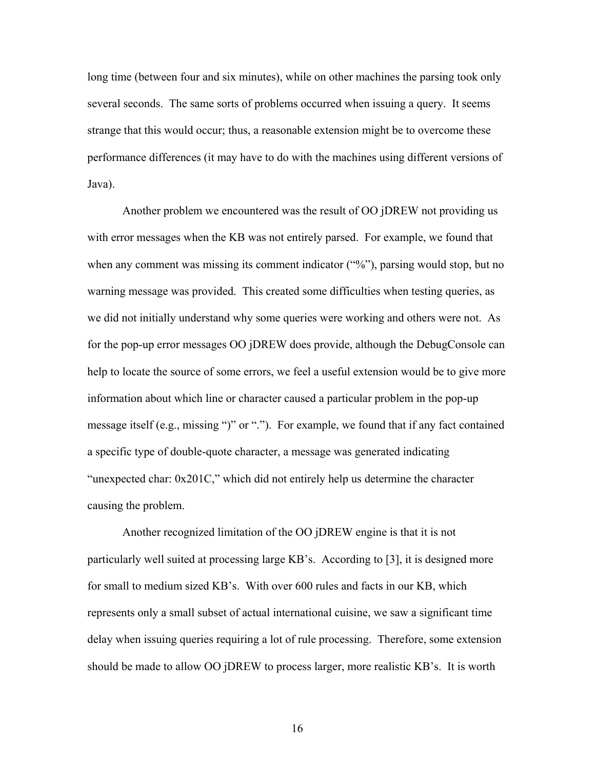long time (between four and six minutes), while on other machines the parsing took only several seconds. The same sorts of problems occurred when issuing a query. It seems strange that this would occur; thus, a reasonable extension might be to overcome these performance differences (it may have to do with the machines using different versions of Java).

Another problem we encountered was the result of OO jDREW not providing us with error messages when the KB was not entirely parsed. For example, we found that when any comment was missing its comment indicator ("%"), parsing would stop, but no warning message was provided. This created some difficulties when testing queries, as we did not initially understand why some queries were working and others were not. As for the pop-up error messages OO jDREW does provide, although the DebugConsole can help to locate the source of some errors, we feel a useful extension would be to give more information about which line or character caused a particular problem in the pop-up message itself (e.g., missing ")" or "."). For example, we found that if any fact contained a specific type of double-quote character, a message was generated indicating "unexpected char: 0x201C," which did not entirely help us determine the character causing the problem.

Another recognized limitation of the OO jDREW engine is that it is not particularly well suited at processing large KB's. According to [3], it is designed more for small to medium sized KB's. With over 600 rules and facts in our KB, which represents only a small subset of actual international cuisine, we saw a significant time delay when issuing queries requiring a lot of rule processing. Therefore, some extension should be made to allow OO jDREW to process larger, more realistic KB's. It is worth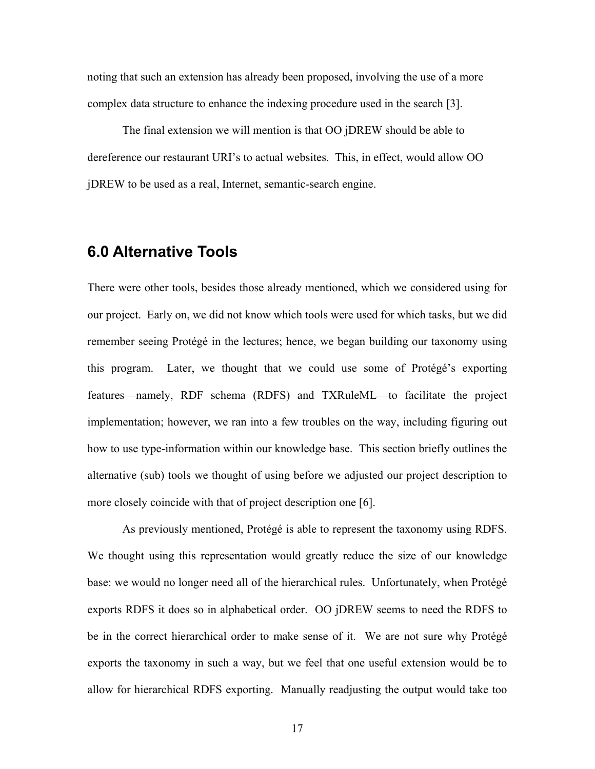noting that such an extension has already been proposed, involving the use of a more complex data structure to enhance the indexing procedure used in the search [3].

The final extension we will mention is that OO jDREW should be able to dereference our restaurant URI's to actual websites. This, in effect, would allow OO jDREW to be used as a real, Internet, semantic-search engine.

# **6.0 Alternative Tools**

There were other tools, besides those already mentioned, which we considered using for our project. Early on, we did not know which tools were used for which tasks, but we did remember seeing Protégé in the lectures; hence, we began building our taxonomy using this program. Later, we thought that we could use some of Protégé's exporting features—namely, RDF schema (RDFS) and TXRuleML—to facilitate the project implementation; however, we ran into a few troubles on the way, including figuring out how to use type-information within our knowledge base. This section briefly outlines the alternative (sub) tools we thought of using before we adjusted our project description to more closely coincide with that of project description one [6].

As previously mentioned, Protégé is able to represent the taxonomy using RDFS. We thought using this representation would greatly reduce the size of our knowledge base: we would no longer need all of the hierarchical rules. Unfortunately, when Protégé exports RDFS it does so in alphabetical order. OO jDREW seems to need the RDFS to be in the correct hierarchical order to make sense of it. We are not sure why Protégé exports the taxonomy in such a way, but we feel that one useful extension would be to allow for hierarchical RDFS exporting. Manually readjusting the output would take too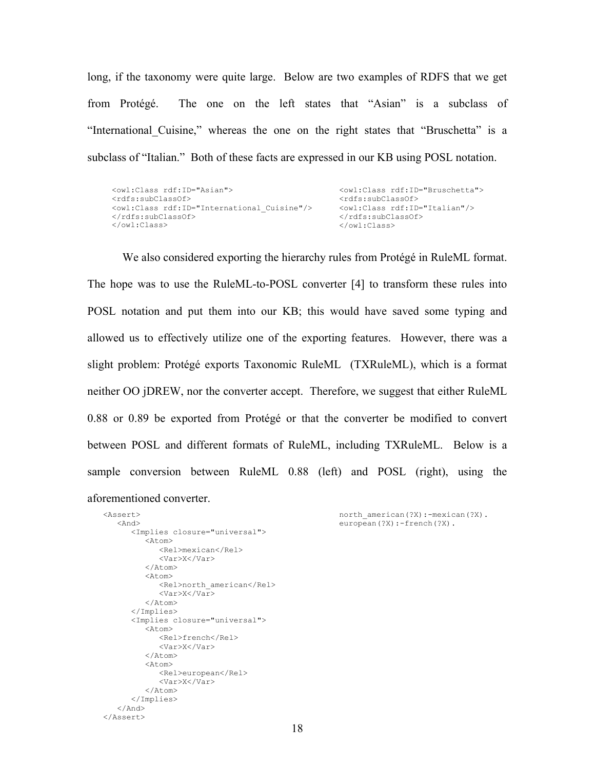long, if the taxonomy were quite large. Below are two examples of RDFS that we get from Protégé. The one on the left states that "Asian" is a subclass of "International Cuisine," whereas the one on the right states that "Bruschetta" is a subclass of "Italian." Both of these facts are expressed in our KB using POSL notation.

| <owl:class rdf:id="Asian"></owl:class>                 | <owl:class_rdf:id="bruschetta"></owl:class_rdf:id="bruschetta"> |
|--------------------------------------------------------|-----------------------------------------------------------------|
| <rdfs:subclassof></rdfs:subclassof>                    | <rdfs:subclassof></rdfs:subclassof>                             |
| <owl:class rdf:id="International Cuisine"></owl:class> | <owl:class_rdf:id="italian"></owl:class_rdf:id="italian">       |
|                                                        |                                                                 |
| $\langle$ /owl:Class>                                  | $\langle$ /owl:Class>                                           |

We also considered exporting the hierarchy rules from Protégé in RuleML format. The hope was to use the RuleML-to-POSL converter [4] to transform these rules into POSL notation and put them into our KB; this would have saved some typing and allowed us to effectively utilize one of the exporting features. However, there was a slight problem: Protégé exports Taxonomic RuleML (TXRuleML), which is a format neither OO jDREW, nor the converter accept. Therefore, we suggest that either RuleML 0.88 or 0.89 be exported from Protégé or that the converter be modified to convert between POSL and different formats of RuleML, including TXRuleML. Below is a sample conversion between RuleML 0.88 (left) and POSL (right), using the aforementioned converter.

```
north american(?X):-mexican(?X).
european(?X):-french(?X).
```

```
 <And> 
        <Implies closure="universal"> 
            <Atom> 
                <Rel>mexican</Rel> 
                <Var>X</Var> 
            </Atom> 
            <Atom> 
                <Rel>north_american</Rel> 
                <Var>X</Var> 
            </Atom> 
        </Implies> 
        <Implies closure="universal"> 
           <Atom> <Rel>french</Rel> 
                <Var>X</Var> 
           \langle/Atom\rangle<Atom> <Rel>european</Rel> 
                <Var>X</Var> 
           \langleAtom\rangle </Implies> 
   \langle / And \rangle</Assert>
```
<Assert>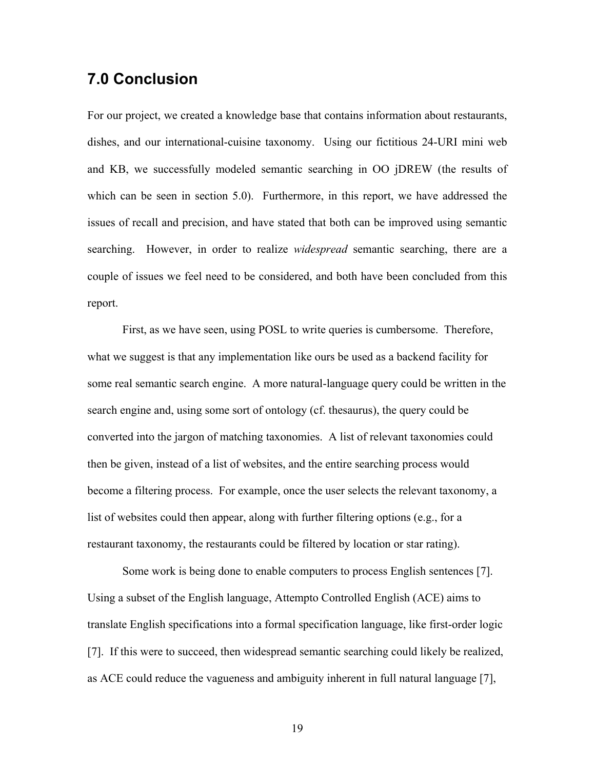# **7.0 Conclusion**

For our project, we created a knowledge base that contains information about restaurants, dishes, and our international-cuisine taxonomy. Using our fictitious 24-URI mini web and KB, we successfully modeled semantic searching in OO jDREW (the results of which can be seen in section 5.0). Furthermore, in this report, we have addressed the issues of recall and precision, and have stated that both can be improved using semantic searching. However, in order to realize *widespread* semantic searching, there are a couple of issues we feel need to be considered, and both have been concluded from this report.

 First, as we have seen, using POSL to write queries is cumbersome. Therefore, what we suggest is that any implementation like ours be used as a backend facility for some real semantic search engine. A more natural-language query could be written in the search engine and, using some sort of ontology (cf. thesaurus), the query could be converted into the jargon of matching taxonomies. A list of relevant taxonomies could then be given, instead of a list of websites, and the entire searching process would become a filtering process. For example, once the user selects the relevant taxonomy, a list of websites could then appear, along with further filtering options (e.g., for a restaurant taxonomy, the restaurants could be filtered by location or star rating).

Some work is being done to enable computers to process English sentences [7]. Using a subset of the English language, Attempto Controlled English (ACE) aims to translate English specifications into a formal specification language, like first-order logic [7]. If this were to succeed, then widespread semantic searching could likely be realized, as ACE could reduce the vagueness and ambiguity inherent in full natural language [7],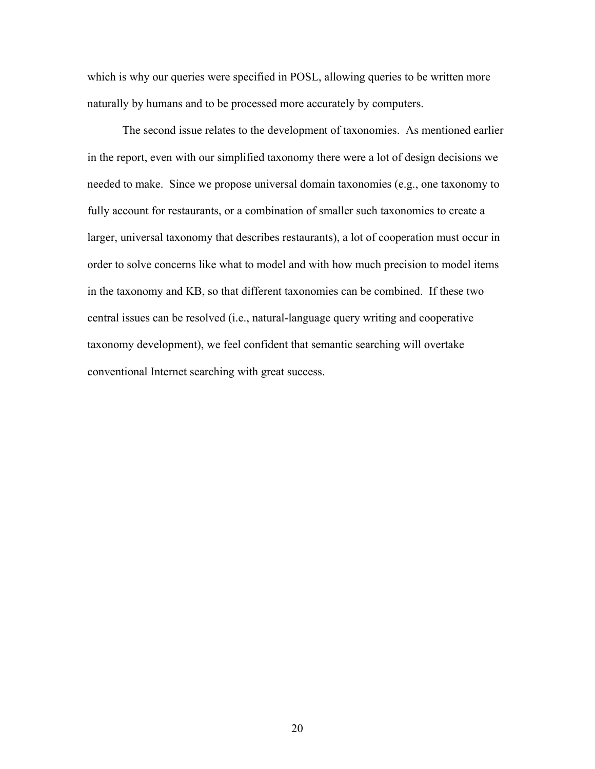which is why our queries were specified in POSL, allowing queries to be written more naturally by humans and to be processed more accurately by computers.

The second issue relates to the development of taxonomies. As mentioned earlier in the report, even with our simplified taxonomy there were a lot of design decisions we needed to make. Since we propose universal domain taxonomies (e.g., one taxonomy to fully account for restaurants, or a combination of smaller such taxonomies to create a larger, universal taxonomy that describes restaurants), a lot of cooperation must occur in order to solve concerns like what to model and with how much precision to model items in the taxonomy and KB, so that different taxonomies can be combined. If these two central issues can be resolved (i.e., natural-language query writing and cooperative taxonomy development), we feel confident that semantic searching will overtake conventional Internet searching with great success.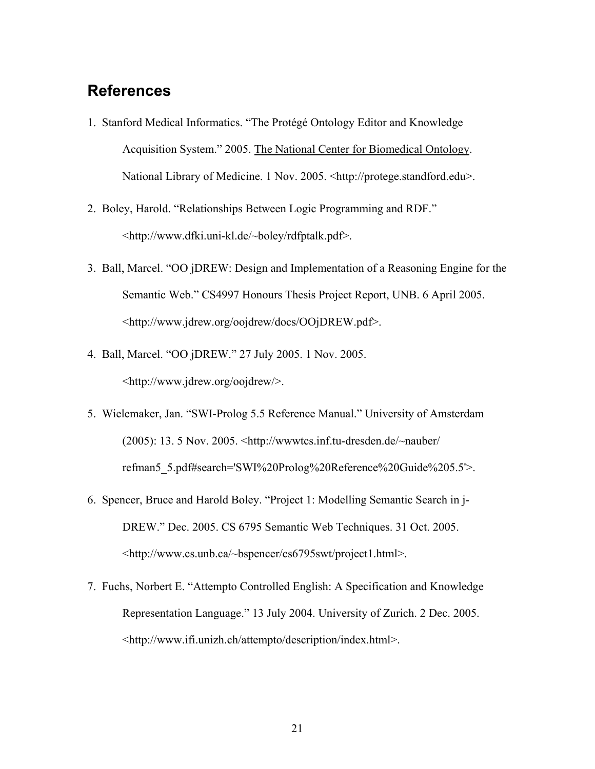# **References**

- 1. Stanford Medical Informatics. "The Protégé Ontology Editor and Knowledge Acquisition System." 2005. The National Center for Biomedical Ontology. National Library of Medicine. 1 Nov. 2005. <http://protege.standford.edu>.
- 2. Boley, Harold. "Relationships Between Logic Programming and RDF." <http://www.dfki.uni-kl.de/~boley/rdfptalk.pdf>.
- 3. Ball, Marcel. "OO jDREW: Design and Implementation of a Reasoning Engine for the Semantic Web." CS4997 Honours Thesis Project Report, UNB. 6 April 2005. <http://www.jdrew.org/oojdrew/docs/OOjDREW.pdf>.
- 4. Ball, Marcel. "OO jDREW." 27 July 2005. 1 Nov. 2005. <http://www.jdrew.org/oojdrew/>.
- 5. Wielemaker, Jan. "SWI-Prolog 5.5 Reference Manual." University of Amsterdam (2005): 13. 5 Nov. 2005. <http://wwwtcs.inf.tu-dresden.de/~nauber/ refman5\_5.pdf#search='SWI%20Prolog%20Reference%20Guide%205.5'>.
- 6. Spencer, Bruce and Harold Boley. "Project 1: Modelling Semantic Search in j-DREW." Dec. 2005. CS 6795 Semantic Web Techniques. 31 Oct. 2005. <http://www.cs.unb.ca/~bspencer/cs6795swt/project1.html>.
- 7. Fuchs, Norbert E. "Attempto Controlled English: A Specification and Knowledge Representation Language." 13 July 2004. University of Zurich. 2 Dec. 2005. <http://www.ifi.unizh.ch/attempto/description/index.html>.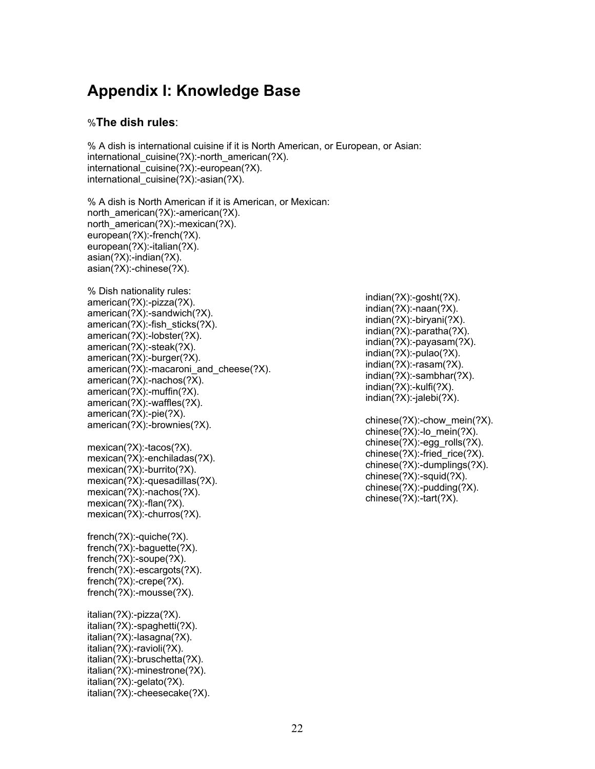# **Appendix I: Knowledge Base**

### %**The dish rules**:

% A dish is international cuisine if it is North American, or European, or Asian: international\_cuisine(?X):-north\_american(?X). international\_cuisine(?X):-european(?X). international cuisine(?X):-asian(?X).

% A dish is North American if it is American, or Mexican: north\_american(?X):-american(?X). north\_american(?X):-mexican(?X). european(?X):-french(?X). european(?X):-italian(?X). asian(?X):-indian(?X). asian(?X):-chinese(?X).

```
% Dish nationality rules: 
american(?X):-pizza(?X). 
american(?X):-sandwich(?X). 
american(?X):-fish_sticks(?X).
american(?X):-lobster(?X). 
american(?X):-steak(?X). 
american(?X):-burger(?X). 
american(?X):-macaroni and cheese(?X).
american(?X):-nachos(?X). 
american(?X):-muffin(?X). 
american(?X):-waffles(?X). 
american(?X):-pie(?X). 
american(?X):-brownies(?X).
```
mexican(?X):-tacos(?X). mexican(?X):-enchiladas(?X). mexican(?X):-burrito(?X). mexican(?X):-quesadillas(?X). mexican(?X):-nachos(?X). mexican(?X):-flan(?X). mexican(?X):-churros(?X).

french(?X):-quiche(?X). french(?X):-baguette(?X). french(?X):-soupe(?X). french(?X):-escargots(?X). french(?X):-crepe(?X). french(?X):-mousse(?X).

italian(?X):-pizza(?X). italian(?X):-spaghetti(?X). italian(?X):-lasagna(?X). italian(?X):-ravioli(?X). italian(?X):-bruschetta(?X). italian(?X):-minestrone(?X). italian(?X):-gelato(?X). italian(?X):-cheesecake(?X). indian(?X):-gosht(?X). indian(?X):-naan(?X). indian(?X):-biryani(?X). indian(?X):-paratha(?X). indian(?X):-payasam(?X). indian(?X):-pulao(?X). indian(?X):-rasam(?X). indian(?X):-sambhar(?X). indian(?X):-kulfi(?X). indian(?X):-jalebi(?X).

chinese(?X):-chow\_mein(?X). chinese(?X):-lo\_mein(?X). chinese(?X):-egg\_rolls(?X). chinese $(?X)$ :-fried rice $(?X)$ . chinese(?X):-dumplings(?X). chinese(?X):-squid(?X). chinese(?X):-pudding(?X). chinese(?X):-tart(?X).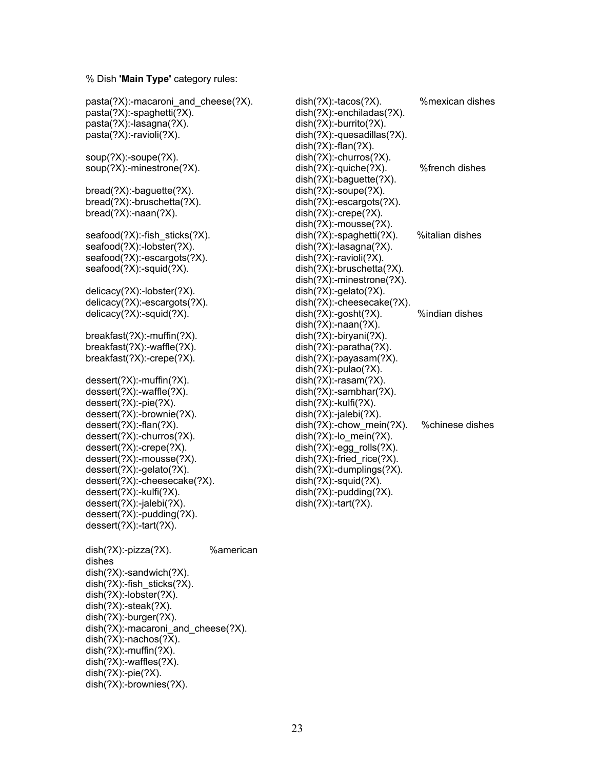#### % Dish **'Main Type'** category rules:

pasta(?X):-macaroni\_and\_cheese(?X).

pasta(?X):-spaghetti(?X). pasta(?X):-lasagna(?X). pasta(?X):-ravioli(?X). soup(?X):-soupe(?X). soup(?X):-minestrone(?X). bread(?X):-baguette(?X). bread(?X):-bruschetta(?X). bread(?X):-naan(?X). seafood(?X):-fish\_sticks(?X). seafood(?X):-lobster(?X). seafood(?X):-escargots(?X). seafood(?X):-squid(?X). delicacy(?X):-lobster(?X). delicacy(?X):-escargots(?X). delicacy(?X):-squid(?X). breakfast(?X):-muffin(?X). breakfast(?X):-waffle(?X). breakfast(?X):-crepe(?X). dessert(?X):-muffin(?X). dessert(?X):-waffle(?X). dessert(?X):-pie(?X). dessert(?X):-brownie(?X). dessert(?X):-flan(?X). dessert(?X):-churros(?X). dessert(?X):-crepe(?X). dessert(?X):-mousse(?X). dessert(?X):-gelato(?X). dessert(?X):-cheesecake(?X). dessert(?X):-kulfi(?X). dessert(?X):-jalebi(?X). dessert(?X):-pudding(?X). dessert(?X):-tart(?X). dish(?X):-pizza(?X). %american dishes dish(?X):-sandwich(?X). dish(?X):-fish\_sticks(?X). dish(?X):-lobster(?X). dish(?X):-steak(?X). dish(?X):-burger(?X). dish(?X):-macaroni\_and\_cheese(?X). dish(?X):-nachos(?X). dish(?X):-muffin(?X). dish(?X):-waffles(?X). dish(?X):-pie(?X).

dish(?X):-brownies(?X).

dish(?X):-tacos(?X). %mexican dishes dish(?X):-enchiladas(?X). dish(?X):-burrito(?X). dish(?X):-quesadillas(?X).  $dish(?X)$ :-flan $(?X)$ . dish(?X):-churros(?X). dish(?X):-quiche(?X). %french dishes dish(?X):-baguette(?X). dish(?X):-soupe(?X). dish(?X):-escargots(?X). dish(?X):-crepe(?X). dish(?X):-mousse(?X). dish(?X):-spaghetti(?X). %italian dishes dish(?X):-lasagna(?X). dish(?X):-ravioli(?X). dish(?X):-bruschetta(?X). dish(?X):-minestrone(?X). dish(?X):-gelato(?X). dish(?X):-cheesecake(?X). dish(?X):-gosht(?X). %indian dishes dish(?X):-naan(?X). dish(?X):-biryani(?X). dish(?X):-paratha(?X). dish(?X):-payasam(?X). dish(?X):-pulao(?X). dish(?X):-rasam(?X). dish(?X):-sambhar(?X). dish(?X):-kulfi(?X). dish(?X):-jalebi(?X). dish(?X):-chow\_mein(?X). %chinese dishes dish(?X):-lo\_mein(?X). dish(?X):-egg\_rolls(?X). dish(?X):-fried\_rice(?X). dish(?X):-dumplings(?X). dish(?X):-squid(?X). dish(?X):-pudding(?X). dish(?X):-tart(?X).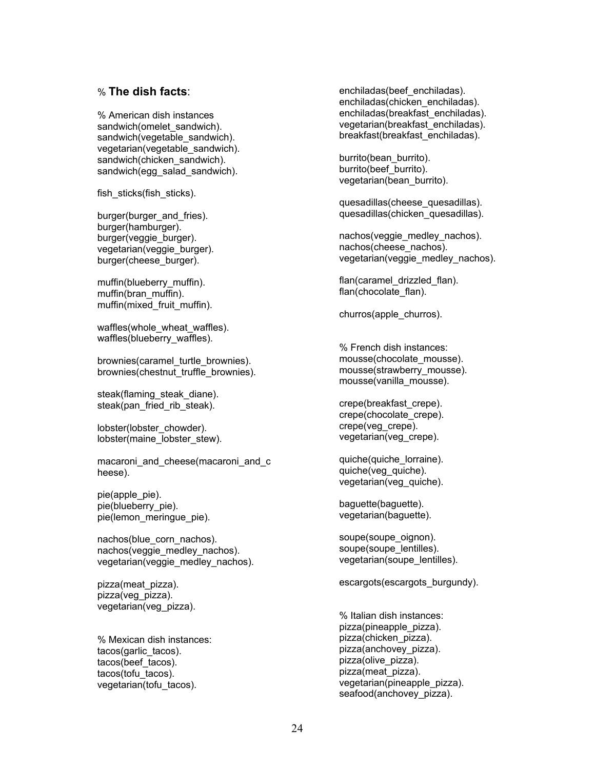#### % **The dish facts**:

% American dish instances sandwich(omelet\_sandwich). sandwich(vegetable\_sandwich). vegetarian(vegetable\_sandwich). sandwich(chicken\_sandwich). sandwich(egg\_salad\_sandwich).

fish\_sticks(fish\_sticks).

burger(burger\_and\_fries). burger(hamburger). burger(veggie\_burger). vegetarian(veggie\_burger). burger(cheese\_burger).

muffin(blueberry\_muffin). muffin(bran\_muffin). muffin(mixed\_fruit\_muffin).

waffles(whole\_wheat\_waffles). waffles(blueberry\_waffles).

brownies(caramel\_turtle\_brownies). brownies(chestnut\_truffle\_brownies).

steak(flaming\_steak\_diane). steak(pan\_fried\_rib\_steak).

lobster(lobster\_chowder). lobster(maine\_lobster\_stew).

macaroni and cheese(macaroni and c heese).

pie(apple\_pie). pie(blueberry\_pie). pie(lemon\_meringue\_pie).

nachos(blue\_corn\_nachos). nachos(veggie\_medley\_nachos). vegetarian(veggie\_medley\_nachos).

pizza(meat\_pizza). pizza(veg\_pizza). vegetarian(veg\_pizza).

% Mexican dish instances: tacos(garlic\_tacos). tacos(beef\_tacos). tacos(tofu\_tacos). vegetarian(tofu\_tacos).

enchiladas(beef\_enchiladas). enchiladas(chicken\_enchiladas). enchiladas(breakfast\_enchiladas). vegetarian(breakfast\_enchiladas). breakfast(breakfast\_enchiladas).

burrito(bean\_burrito). burrito(beef\_burrito). vegetarian(bean\_burrito).

quesadillas(cheese\_quesadillas). quesadillas(chicken\_quesadillas).

nachos(veggie\_medley\_nachos). nachos(cheese\_nachos). vegetarian(veggie\_medley\_nachos).

flan(caramel\_drizzled\_flan). flan(chocolate\_flan).

churros(apple\_churros).

% French dish instances: mousse(chocolate\_mousse). mousse(strawberry\_mousse). mousse(vanilla\_mousse).

crepe(breakfast\_crepe). crepe(chocolate\_crepe). crepe(veg\_crepe). vegetarian(veg\_crepe).

quiche(quiche\_lorraine). quiche(veg\_quiche). vegetarian(veg\_quiche).

baguette(baguette). vegetarian(baguette).

soupe(soupe\_oignon). soupe(soupe\_lentilles). vegetarian(soupe\_lentilles).

escargots(escargots\_burgundy).

% Italian dish instances: pizza(pineapple\_pizza). pizza(chicken\_pizza). pizza(anchovey\_pizza). pizza(olive\_pizza). pizza(meat\_pizza). vegetarian(pineapple\_pizza). seafood(anchovey\_pizza).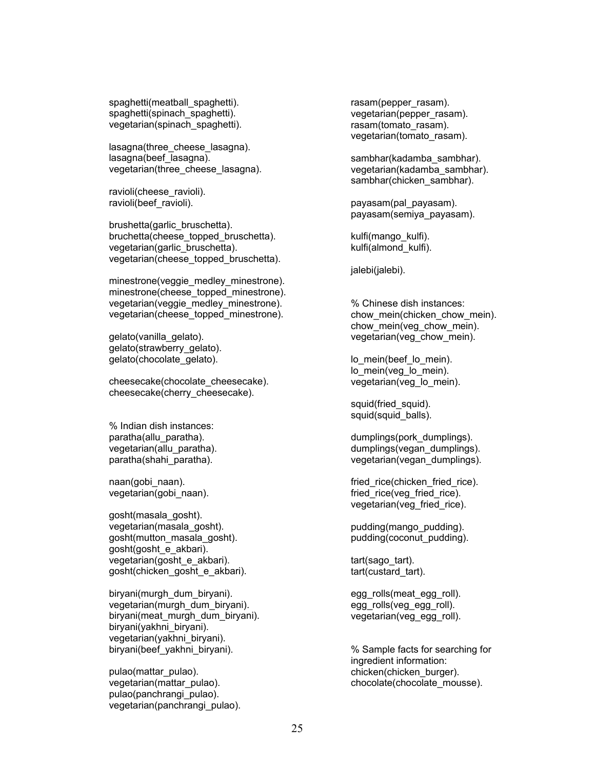spaghetti(meatball\_spaghetti). spaghetti(spinach\_spaghetti). vegetarian(spinach\_spaghetti).

lasagna(three\_cheese\_lasagna). lasagna(beef\_lasagna). vegetarian(three\_cheese\_lasagna).

ravioli(cheese\_ravioli). ravioli(beef\_ravioli).

brushetta(garlic\_bruschetta). bruchetta(cheese\_topped\_bruschetta). vegetarian(garlic\_bruschetta). vegetarian(cheese\_topped\_bruschetta).

minestrone(veggie\_medley\_minestrone). minestrone(cheese\_topped\_minestrone). vegetarian(veggie\_medley\_minestrone). vegetarian(cheese\_topped\_minestrone).

gelato(vanilla\_gelato). gelato(strawberry\_gelato). gelato(chocolate\_gelato).

cheesecake(chocolate\_cheesecake). cheesecake(cherry\_cheesecake).

% Indian dish instances: paratha(allu\_paratha). vegetarian(allu\_paratha). paratha(shahi\_paratha).

naan(gobi\_naan). vegetarian(gobi\_naan).

gosht(masala\_gosht). vegetarian(masala\_gosht). gosht(mutton\_masala\_gosht). gosht(gosht\_e\_akbari). vegetarian(gosht\_e\_akbari). gosht(chicken\_gosht\_e\_akbari).

biryani(murgh\_dum\_biryani). vegetarian(murgh\_dum\_biryani). biryani(meat\_murgh\_dum\_biryani). biryani(yakhni\_biryani). vegetarian(yakhni\_biryani). biryani(beef\_yakhni\_biryani).

pulao(mattar\_pulao). vegetarian(mattar\_pulao). pulao(panchrangi\_pulao). vegetarian(panchrangi\_pulao). rasam(pepper\_rasam). vegetarian(pepper\_rasam). rasam(tomato\_rasam). vegetarian(tomato\_rasam).

sambhar(kadamba\_sambhar). vegetarian(kadamba\_sambhar). sambhar(chicken\_sambhar).

payasam(pal\_payasam). payasam(semiya\_payasam).

kulfi(mango\_kulfi). kulfi(almond\_kulfi).

jalebi(jalebi).

% Chinese dish instances: chow mein(chicken chow mein). chow\_mein(veg\_chow\_mein). vegetarian(veg\_chow\_mein).

lo\_mein(beef\_lo\_mein). lo\_mein(veg\_lo\_mein). vegetarian(veg\_lo\_mein).

squid(fried\_squid). squid(squid\_balls).

dumplings(pork\_dumplings). dumplings(vegan\_dumplings). vegetarian(vegan\_dumplings).

fried rice(chicken fried rice). fried rice(veg fried rice). vegetarian(veg\_fried\_rice).

pudding(mango\_pudding). pudding(coconut\_pudding).

tart(sago\_tart). tart(custard\_tart).

egg\_rolls(meat\_egg\_roll). egg\_rolls(veg\_egg\_roll). vegetarian(veg\_egg\_roll).

% Sample facts for searching for ingredient information: chicken(chicken\_burger). chocolate(chocolate\_mousse).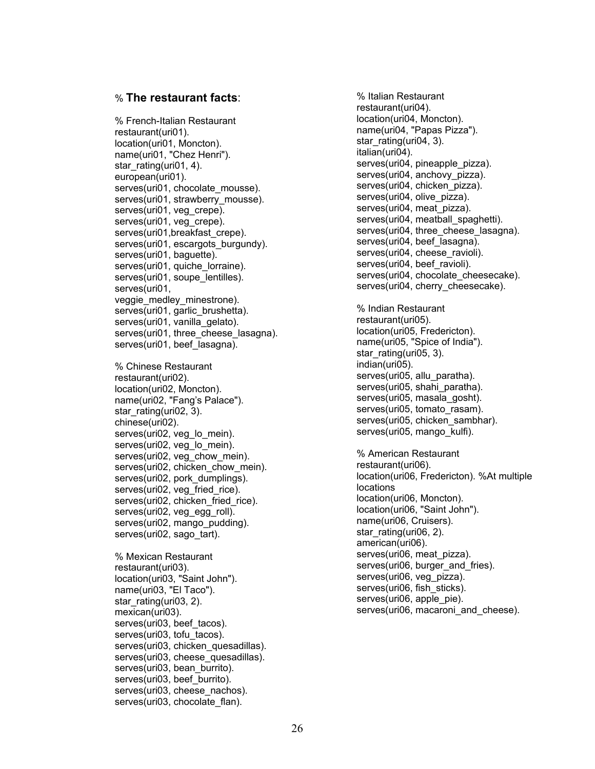#### % **The restaurant facts**:

% French-Italian Restaurant restaurant(uri01). location(uri01, Moncton). name(uri01, "Chez Henri"). star\_rating(uri01, 4). european(uri01). serves(uri01, chocolate\_mousse). serves(uri01, strawberry\_mousse). serves(uri01, veg\_crepe). serves(uri01, veg\_crepe). serves(uri01, breakfast\_crepe). serves(uri01, escargots\_burgundy). serves(uri01, baguette). serves(uri01, quiche\_lorraine). serves(uri01, soupe\_lentilles). serves(uri01, veggie medley minestrone). serves(uri01, garlic\_brushetta). serves(uri01, vanilla\_gelato). serves(uri01, three cheese lasagna). serves(uri01, beef\_lasagna). % Chinese Restaurant restaurant(uri02). location(uri02, Moncton). name(uri02, "Fang's Palace"). star\_rating(uri02, 3). chinese(uri02). serves(uri02, veg\_lo\_mein). serves(uri02, veg\_lo\_mein). serves(uri02, veg\_chow\_mein). serves(uri02, chicken\_chow\_mein). serves(uri02, pork\_dumplings). serves(uri02, veg\_fried\_rice). serves(uri02, chicken\_fried\_rice). serves(uri02, veg\_egg\_roll). serves(uri02, mango\_pudding). serves(uri02, sago\_tart).

% Mexican Restaurant restaurant(uri03). location(uri03, "Saint John"). name(uri03, "El Taco"). star\_rating(uri03, 2). mexican(uri03). serves(uri03, beef\_tacos). serves(uri03, tofu\_tacos). serves(uri03, chicken quesadillas). serves(uri03, cheese\_quesadillas). serves(uri03, bean\_burrito). serves(uri03, beef\_burrito). serves(uri03, cheese\_nachos). serves(uri03, chocolate\_flan).

% Italian Restaurant restaurant(uri04). location(uri04, Moncton). name(uri04, "Papas Pizza"). star\_rating(uri04, 3). italian(uri04). serves(uri04, pineapple pizza). serves(uri04, anchovy\_pizza). serves(uri04, chicken\_pizza). serves(uri04, olive\_pizza). serves(uri04, meat pizza). serves(uri04, meatball\_spaghetti). serves(uri04, three cheese lasagna). serves(uri04, beef\_lasagna). serves(uri04, cheese\_ravioli). serves(uri04, beef\_ravioli). serves(uri04, chocolate\_cheesecake). serves(uri04, cherry\_cheesecake).

% Indian Restaurant restaurant(uri05). location(uri05, Fredericton). name(uri05, "Spice of India"). star\_rating(uri05, 3). indian(uri05). serves(uri05, allu\_paratha). serves(uri05, shahi\_paratha). serves(uri05, masala\_gosht). serves(uri05, tomato\_rasam). serves(uri05, chicken\_sambhar). serves(uri05, mango\_kulfi).

% American Restaurant restaurant(uri06). location(uri06, Fredericton). %At multiple locations location(uri06, Moncton). location(uri06, "Saint John"). name(uri06, Cruisers). star\_rating(uri06, 2). american(uri06). serves(uri06, meat pizza). serves(uri06, burger\_and\_fries). serves(uri06, veg\_pizza). serves(uri06, fish\_sticks). serves(uri06, apple pie). serves(uri06, macaroni\_and\_cheese).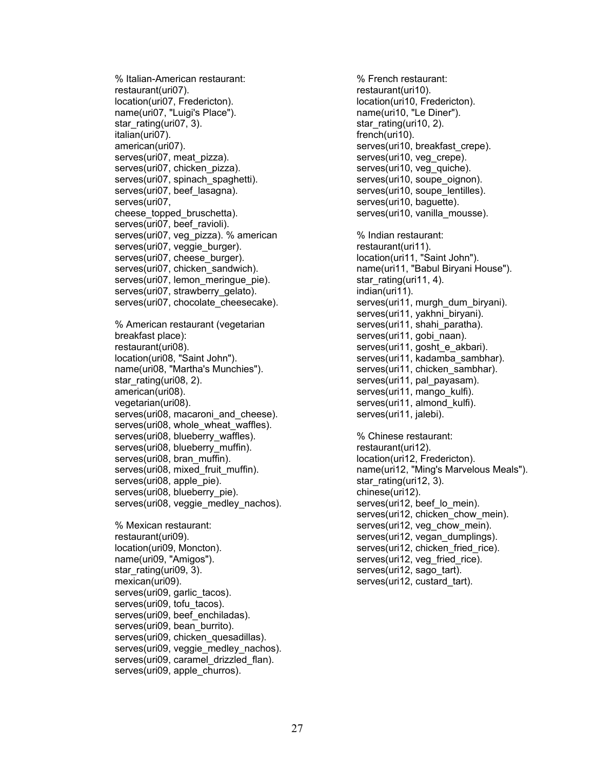% Italian-American restaurant: restaurant(uri07). location(uri07, Fredericton). name(uri07, "Luigi's Place"). star\_rating(uri07, 3). italian(uri07). american(uri07). serves(uri07, meat pizza). serves(uri07, chicken\_pizza). serves(uri07, spinach spaghetti). serves(uri07, beef\_lasagna). serves(uri07, cheese topped bruschetta). serves(uri07, beef\_ravioli). serves(uri07, veg\_pizza). % american serves(uri07, veggie\_burger). serves(uri07, cheese\_burger). serves(uri07, chicken\_sandwich). serves(uri07, lemon\_meringue\_pie). serves(uri07, strawberry\_gelato). serves(uri07, chocolate\_cheesecake).

% American restaurant (vegetarian breakfast place): restaurant(uri08). location(uri08, "Saint John"). name(uri08, "Martha's Munchies"). star\_rating(uri08, 2). american(uri08). vegetarian(uri08). serves(uri08, macaroni\_and\_cheese). serves(uri08, whole wheat waffles). serves(uri08, blueberry\_waffles). serves(uri08, blueberry\_muffin). serves(uri08, bran\_muffin). serves(uri08, mixed\_fruit\_muffin). serves(uri08, apple pie). serves(uri08, blueberry\_pie). serves(uri08, veggie\_medley\_nachos).

% Mexican restaurant: restaurant(uri09). location(uri09, Moncton). name(uri09, "Amigos"). star\_rating(uri09, 3). mexican(uri09). serves(uri09, garlic\_tacos). serves(uri09, tofu\_tacos). serves(uri09, beef\_enchiladas). serves(uri09, bean\_burrito). serves(uri09, chicken\_quesadillas). serves(uri09, veggie\_medley\_nachos). serves(uri09, caramel\_drizzled\_flan). serves(uri09, apple\_churros).

% French restaurant: restaurant(uri10). location(uri10, Fredericton). name(uri10, "Le Diner"). star\_rating(uri10, 2). french(uri10). serves(uri10, breakfast\_crepe). serves(uri10, veg\_crepe). serves(uri10, veg\_quiche). serves(uri10, soupe\_oignon). serves(uri10, soupe\_lentilles). serves(uri10, baguette). serves(uri10, vanilla\_mousse). % Indian restaurant: restaurant(uri11). location(uri11, "Saint John"). name(uri11, "Babul Biryani House"). star\_rating(uri11, 4). indian(uri11). serves(uri11, murgh\_dum\_biryani). serves(uri11, yakhni\_biryani). serves(uri11, shahi\_paratha). serves(uri11, gobi\_naan). serves(uri11, gosht\_e\_akbari). serves(uri11, kadamba\_sambhar). serves(uri11, chicken\_sambhar). serves(uri11, pal\_payasam). serves(uri11, mango kulfi). serves(uri11, almond kulfi). serves(uri11, jalebi). % Chinese restaurant: restaurant(uri12). location(uri12, Fredericton). name(uri12, "Ming's Marvelous Meals"). star\_rating(uri12, 3). chinese(uri12). serves(uri12, beef\_lo\_mein). serves(uri12, chicken\_chow\_mein). serves(uri12, veg\_chow\_mein). serves(uri12, vegan\_dumplings). serves(uri12, chicken\_fried\_rice). serves(uri12, veg\_fried\_rice). serves(uri12, sago\_tart).

serves(uri12, custard\_tart).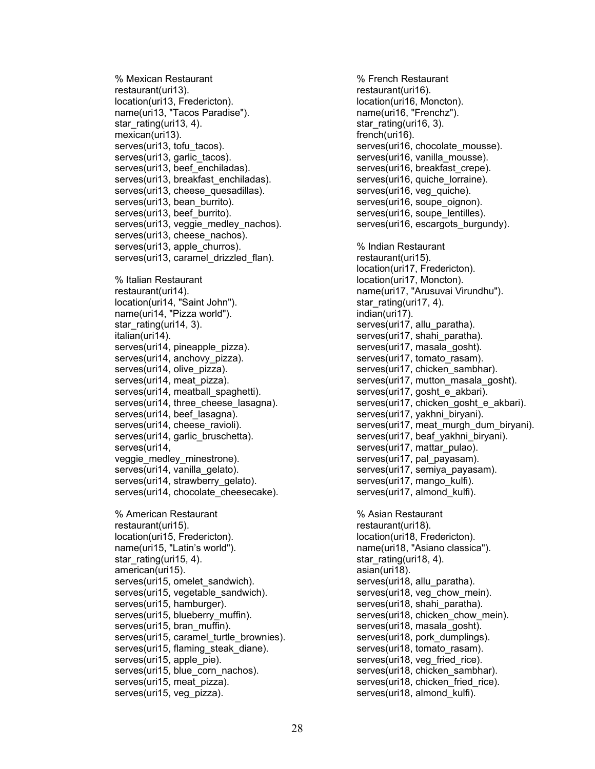% Mexican Restaurant restaurant(uri13). location(uri13, Fredericton). name(uri13, "Tacos Paradise"). star\_rating(uri13, 4). mexican(uri13). serves(uri13, tofu\_tacos). serves(uri13, garlic\_tacos). serves(uri13, beef\_enchiladas). serves(uri13, breakfast\_enchiladas). serves(uri13, cheese\_quesadillas). serves(uri13, bean\_burrito). serves(uri13, beef\_burrito). serves(uri13, veggie\_medley\_nachos). serves(uri13, cheese\_nachos). serves(uri13, apple\_churros). serves(uri13, caramel drizzled flan). % Italian Restaurant restaurant(uri14). location(uri14, "Saint John"). name(uri14, "Pizza world"). star\_rating(uri14, 3). italian(uri14). serves(uri14, pineapple\_pizza). serves(uri14, anchovy\_pizza). serves(uri14, olive\_pizza). serves(uri14, meat pizza). serves(uri14, meatball spaghetti). serves(uri14, three\_cheese\_lasagna). serves(uri14, beef\_lasagna). serves(uri14, cheese\_ravioli). serves(uri14, garlic\_bruschetta). serves(uri14, veggie\_medley\_minestrone). serves(uri14, vanilla\_gelato). serves(uri14, strawberry\_gelato). serves(uri14, chocolate\_cheesecake). % American Restaurant restaurant(uri15). location(uri15, Fredericton). name(uri15, "Latin's world"). star\_rating(uri15, 4). american(uri15). serves(uri15, omelet\_sandwich). serves(uri15, vegetable\_sandwich). serves(uri15, hamburger). serves(uri15, blueberry\_muffin). serves(uri15, bran\_muffin). serves(uri15, caramel\_turtle\_brownies). serves(uri15, flaming steak diane). serves(uri15, apple pie). serves(uri15, blue\_corn\_nachos). serves(uri15, meat pizza). serves(uri15, veg pizza).

% French Restaurant restaurant(uri16). location(uri16, Moncton). name(uri16, "Frenchz"). star\_rating(uri16, 3). french(uri16). serves(uri16, chocolate\_mousse). serves(uri16, vanilla\_mousse). serves(uri16, breakfast\_crepe). serves(uri16, quiche lorraine). serves(uri16, veg quiche). serves(uri16, soupe\_oignon). serves(uri16, soupe\_lentilles). serves(uri16, escargots burgundy). % Indian Restaurant restaurant(uri15). location(uri17, Fredericton). location(uri17, Moncton). name(uri17, "Arusuvai Virundhu"). star\_rating(uri17, 4). indian(uri17). serves(uri17, allu\_paratha). serves(uri17, shahi\_paratha). serves(uri17, masala\_gosht). serves(uri17, tomato\_rasam). serves(uri17, chicken\_sambhar). serves(uri17, mutton\_masala\_gosht). serves(uri17, gosht\_e\_akbari). serves(uri17, chicken\_gosht\_e\_akbari). serves(uri17, yakhni\_biryani). serves(uri17, meat murgh dum biryani). serves(uri17, beaf\_yakhni\_biryani). serves(uri17, mattar\_pulao). serves(uri17, pal\_payasam). serves(uri17, semiya\_payasam). serves(uri17, mango\_kulfi). serves(uri17, almond kulfi). % Asian Restaurant restaurant(uri18). location(uri18, Fredericton). name(uri18, "Asiano classica"). star\_rating(uri18, 4). asian(uri18). serves(uri18, allu\_paratha). serves(uri18, veg\_chow\_mein). serves(uri18, shahi\_paratha). serves(uri18, chicken\_chow\_mein). serves(uri18, masala\_gosht). serves(uri18, pork\_dumplings). serves(uri18, tomato\_rasam). serves(uri18, veg\_fried\_rice). serves(uri18, chicken\_sambhar). serves(uri18, chicken fried rice). serves(uri18, almond kulfi).